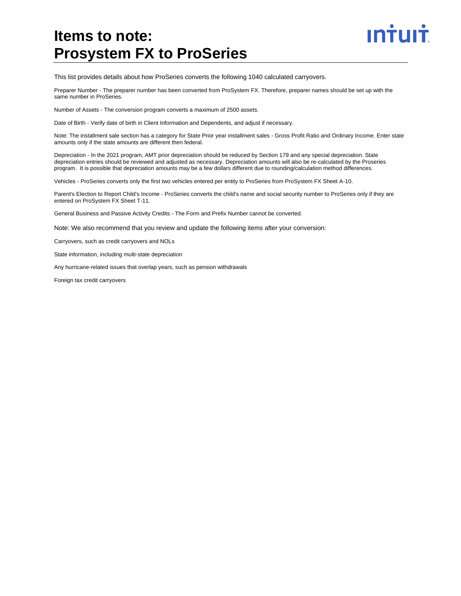# **Items to note: Prosystem FX to ProSeries**

This list provides details about how ProSeries converts the following 1040 calculated carryovers.

Preparer Number - The preparer number has been converted from ProSystem FX. Therefore, preparer names should be set up with the same number in ProSeries.

ın<del>i</del>uli

Number of Assets - The conversion program converts a maximum of 2500 assets.

Date of Birth - Verify date of birth in Client Information and Dependents, and adjust if necessary.

Note: The installment sale section has a category for State Prior year installment sales - Gross Profit Ratio and Ordinary Income. Enter state amounts only if the state amounts are different then federal.

Depreciation - In the 2021 program, AMT prior depreciation should be reduced by Section 179 and any special depreciation. State depreciation entries should be reviewed and adjusted as necessary. Depreciation amounts will also be re-calculated by the Proseries program. It is possible that depreciation amounts may be a few dollars different due to rounding/calculation method differences.

Vehicles - ProSeries converts only the first two vehicles entered per entity to ProSeries from ProSystem FX Sheet A-10.

Parent's Election to Report Child's Income - ProSeries converts the child's name and social security number to ProSeries only if they are entered on ProSystem FX Sheet T-11.

General Business and Passive Activity Credits - The Form and Prefix Number cannot be converted.

Note: We also recommend that you review and update the following items after your conversion:

Carryovers, such as credit carryovers and NOLs

State information, including multi-state depreciation

Any hurricane-related issues that overlap years, such as pension withdrawals

Foreign tax credit carryovers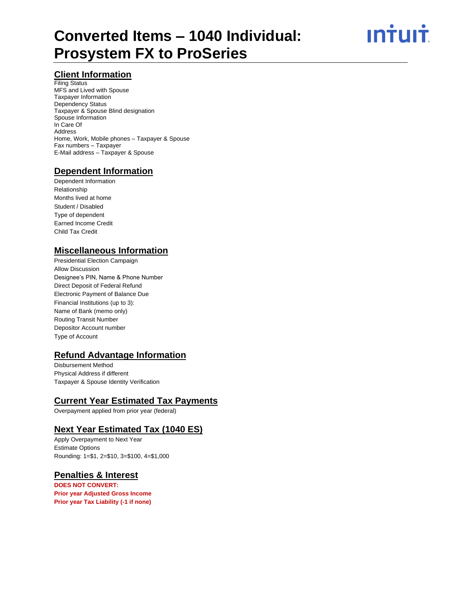#### **Client Information**

Filing Status MFS and Lived with Spouse Taxpayer Information Dependency Status Taxpayer & Spouse Blind designation Spouse Information In Care Of Address Home, Work, Mobile phones – Taxpayer & Spouse Fax numbers – Taxpayer E-Mail address – Taxpayer & Spouse

### **Dependent Information**

Dependent Information Relationship Months lived at home Student / Disabled Type of dependent Earned Income Credit Child Tax Credit

#### **Miscellaneous Information**

Presidential Election Campaign Allow Discussion Designee's PIN, Name & Phone Number Direct Deposit of Federal Refund Electronic Payment of Balance Due Financial Institutions (up to 3): Name of Bank (memo only) Routing Transit Number Depositor Account number Type of Account

### **Refund Advantage Information**

Disbursement Method Physical Address if different Taxpayer & Spouse Identity Verification

### **Current Year Estimated Tax Payments**

Overpayment applied from prior year (federal)

#### **Next Year Estimated Tax (1040 ES)**

Apply Overpayment to Next Year Estimate Options Rounding: 1=\$1, 2=\$10, 3=\$100, 4=\$1,000

### **Penalties & Interest**

**DOES NOT CONVERT: Prior year Adjusted Gross Income Prior year Tax Liability (-1 if none)**

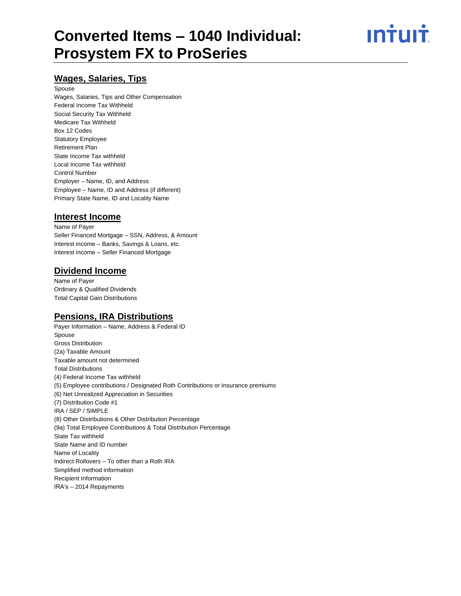ın<del>i</del>uı<del>i</del>

#### **Wages, Salaries, Tips**

#### Spouse

Wages, Salaries, Tips and Other Compensation Federal Income Tax Withheld Social Security Tax Withheld Medicare Tax Withheld Box 12 Codes Statutory Employee Retirement Plan State Income Tax withheld Local Income Tax withheld Control Number Employer – Name, ID, and Address Employee – Name, ID and Address (if different) Primary State Name, ID and Locality Name

#### **Interest Income**

Name of Payer Seller Financed Mortgage – SSN, Address, & Amount Interest income – Banks, Savings & Loans, etc. Interest income – Seller Financed Mortgage

#### **Dividend Income**

Name of Payer Ordinary & Qualified Dividends Total Capital Gain Distributions

#### **Pensions, IRA Distributions**

Payer Information – Name, Address & Federal ID Spouse Gross Distribution (2a) Taxable Amount Taxable amount not determined Total Distributions (4) Federal Income Tax withheld (5) Employee contributions / Designated Roth Contributions or Insurance premiums (6) Net Unrealized Appreciation in Securities (7) Distribution Code #1 IRA / SEP / SIMPLE (8) Other Distributions & Other Distribution Percentage (9a) Total Employee Contributions & Total Distribution Percentage State Tax withheld State Name and ID number Name of Locality Indirect Rollovers – To other than a Roth IRA Simplified method information Recipient Information IRA's – 2014 Repayments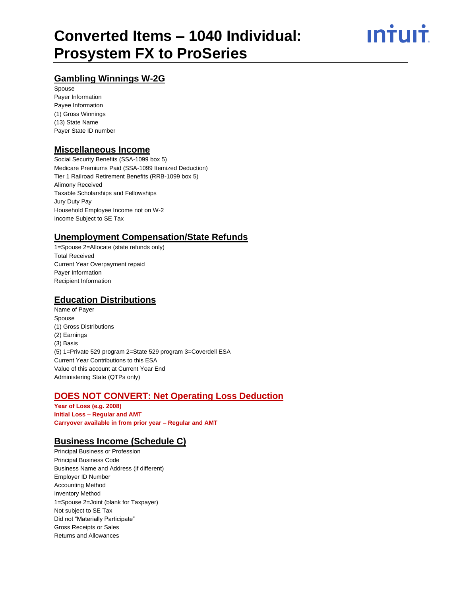# ın†uı†

# **Gambling Winnings W-2G**

Spouse Payer Information Payee Information (1) Gross Winnings (13) State Name Payer State ID number

## **Miscellaneous Income**

Social Security Benefits (SSA-1099 box 5) Medicare Premiums Paid (SSA-1099 Itemized Deduction) Tier 1 Railroad Retirement Benefits (RRB-1099 box 5) Alimony Received Taxable Scholarships and Fellowships Jury Duty Pay Household Employee Income not on W-2 Income Subject to SE Tax

# **Unemployment Compensation/State Refunds**

1=Spouse 2=Allocate (state refunds only) Total Received Current Year Overpayment repaid Payer Information Recipient Information

# **Education Distributions**

Name of Payer Spouse (1) Gross Distributions (2) Earnings (3) Basis (5) 1=Private 529 program 2=State 529 program 3=Coverdell ESA Current Year Contributions to this ESA Value of this account at Current Year End Administering State (QTPs only)

# **DOES NOT CONVERT: Net Operating Loss Deduction**

**Year of Loss (e.g. 2008) Initial Loss – Regular and AMT Carryover available in from prior year – Regular and AMT**

# **Business Income (Schedule C)**

Principal Business or Profession Principal Business Code Business Name and Address (if different) Employer ID Number Accounting Method Inventory Method 1=Spouse 2=Joint (blank for Taxpayer) Not subject to SE Tax Did not "Materially Participate" Gross Receipts or Sales Returns and Allowances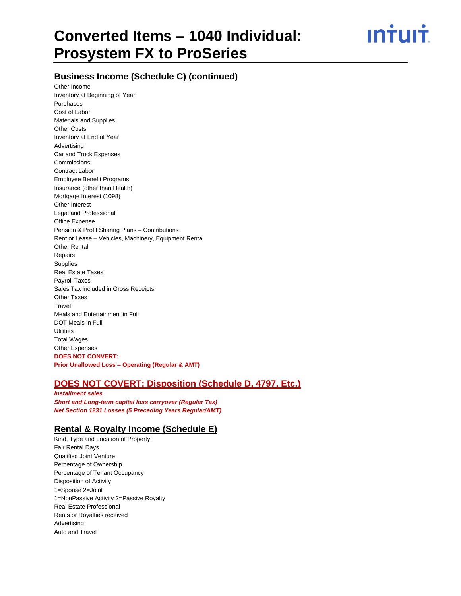ın<del>i</del>uı<del>i</del>

### **Business Income (Schedule C) (continued)**

Other Income Inventory at Beginning of Year Purchases Cost of Labor Materials and Supplies Other Costs Inventory at End of Year Advertising Car and Truck Expenses Commissions Contract Labor Employee Benefit Programs Insurance (other than Health) Mortgage Interest (1098) Other Interest Legal and Professional Office Expense Pension & Profit Sharing Plans – Contributions Rent or Lease – Vehicles, Machinery, Equipment Rental Other Rental Repairs **Supplies** Real Estate Taxes Payroll Taxes Sales Tax included in Gross Receipts Other Taxes **Travel** Meals and Entertainment in Full DOT Meals in Full **Utilities** Total Wages Other Expenses **DOES NOT CONVERT: Prior Unallowed Loss – Operating (Regular & AMT)**

### **DOES NOT COVERT: Disposition (Schedule D, 4797, Etc.)**

*Installment sales Short and Long-term capital loss carryover (Regular Tax) Net Section 1231 Losses (5 Preceding Years Regular/AMT)*

#### **Rental & Royalty Income (Schedule E)**

Kind, Type and Location of Property Fair Rental Days Qualified Joint Venture Percentage of Ownership Percentage of Tenant Occupancy Disposition of Activity 1=Spouse 2=Joint 1=NonPassive Activity 2=Passive Royalty Real Estate Professional Rents or Royalties received Advertising Auto and Travel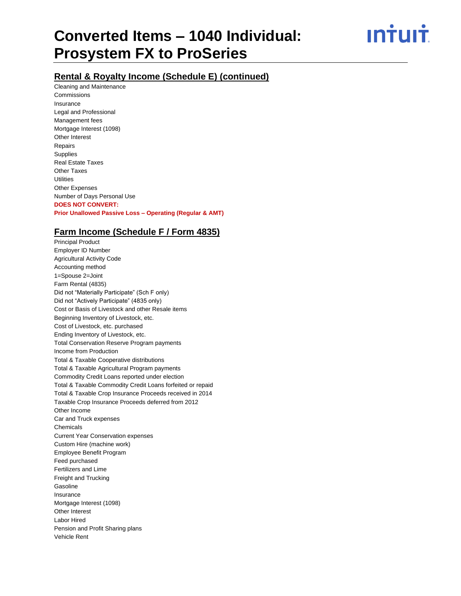ın†uı†

## **Rental & Royalty Income (Schedule E) (continued)**

Cleaning and Maintenance Commissions Insurance Legal and Professional Management fees Mortgage Interest (1098) Other Interest Repairs **Supplies** Real Estate Taxes Other Taxes **Utilities** Other Expenses Number of Days Personal Use **DOES NOT CONVERT: Prior Unallowed Passive Loss – Operating (Regular & AMT)**

#### **Farm Income (Schedule F / Form 4835)**

Principal Product

Employer ID Number Agricultural Activity Code Accounting method 1=Spouse 2=Joint Farm Rental (4835) Did not "Materially Participate" (Sch F only) Did not "Actively Participate" (4835 only) Cost or Basis of Livestock and other Resale items Beginning Inventory of Livestock, etc. Cost of Livestock, etc. purchased Ending Inventory of Livestock, etc. Total Conservation Reserve Program payments Income from Production Total & Taxable Cooperative distributions Total & Taxable Agricultural Program payments Commodity Credit Loans reported under election Total & Taxable Commodity Credit Loans forfeited or repaid Total & Taxable Crop Insurance Proceeds received in 2014 Taxable Crop Insurance Proceeds deferred from 2012 Other Income Car and Truck expenses Chemicals Current Year Conservation expenses Custom Hire (machine work) Employee Benefit Program Feed purchased Fertilizers and Lime Freight and Trucking **Gasoline** Insurance Mortgage Interest (1098) Other Interest Labor Hired Pension and Profit Sharing plans Vehicle Rent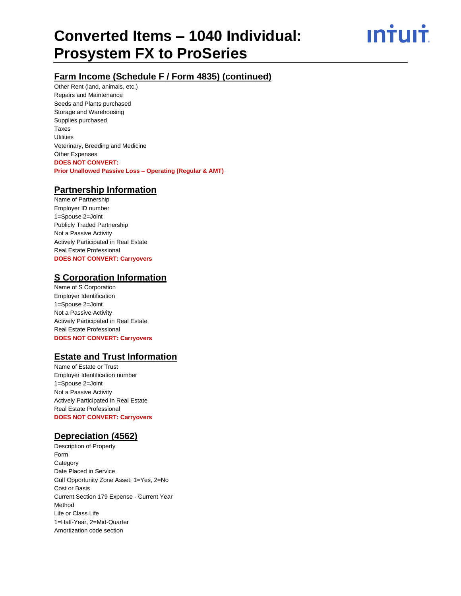ın†uı†

# **Farm Income (Schedule F / Form 4835) (continued)**

Other Rent (land, animals, etc.) Repairs and Maintenance Seeds and Plants purchased Storage and Warehousing Supplies purchased Taxes **Utilities** Veterinary, Breeding and Medicine Other Expenses **DOES NOT CONVERT: Prior Unallowed Passive Loss – Operating (Regular & AMT)**

#### **Partnership Information**

Name of Partnership Employer ID number 1=Spouse 2=Joint Publicly Traded Partnership Not a Passive Activity Actively Participated in Real Estate Real Estate Professional **DOES NOT CONVERT: Carryovers**

#### **S Corporation Information**

Name of S Corporation Employer Identification 1=Spouse 2=Joint Not a Passive Activity Actively Participated in Real Estate Real Estate Professional **DOES NOT CONVERT: Carryovers**

### **Estate and Trust Information**

Name of Estate or Trust Employer Identification number 1=Spouse 2=Joint Not a Passive Activity Actively Participated in Real Estate Real Estate Professional **DOES NOT CONVERT: Carryovers**

#### **Depreciation (4562)**

Description of Property Form **Category** Date Placed in Service Gulf Opportunity Zone Asset: 1=Yes, 2=No Cost or Basis Current Section 179 Expense - Current Year Method Life or Class Life 1=Half-Year, 2=Mid-Quarter Amortization code section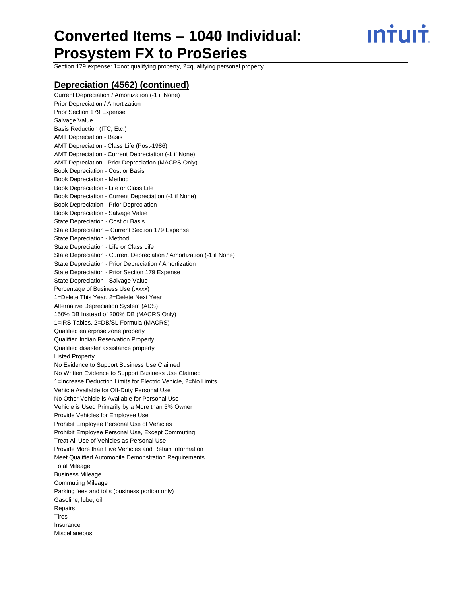ın<del>i</del>uı<del>i</del>

Section 179 expense: 1=not qualifying property, 2=qualifying personal property

#### **Depreciation (4562) (continued)**

Current Depreciation / Amortization (-1 if None) Prior Depreciation / Amortization Prior Section 179 Expense Salvage Value Basis Reduction (ITC, Etc.) AMT Depreciation - Basis AMT Depreciation - Class Life (Post-1986) AMT Depreciation - Current Depreciation (-1 if None) AMT Depreciation - Prior Depreciation (MACRS Only) Book Depreciation - Cost or Basis Book Depreciation - Method Book Depreciation - Life or Class Life Book Depreciation - Current Depreciation (-1 if None) Book Depreciation - Prior Depreciation Book Depreciation - Salvage Value State Depreciation - Cost or Basis State Depreciation – Current Section 179 Expense State Depreciation - Method State Depreciation - Life or Class Life State Depreciation - Current Depreciation / Amortization (-1 if None) State Depreciation - Prior Depreciation / Amortization State Depreciation - Prior Section 179 Expense State Depreciation - Salvage Value Percentage of Business Use (.xxxx) 1=Delete This Year, 2=Delete Next Year Alternative Depreciation System (ADS) 150% DB Instead of 200% DB (MACRS Only) 1=IRS Tables, 2=DB/SL Formula (MACRS) Qualified enterprise zone property Qualified Indian Reservation Property Qualified disaster assistance property Listed Property No Evidence to Support Business Use Claimed No Written Evidence to Support Business Use Claimed 1=Increase Deduction Limits for Electric Vehicle, 2=No Limits Vehicle Available for Off-Duty Personal Use No Other Vehicle is Available for Personal Use Vehicle is Used Primarily by a More than 5% Owner Provide Vehicles for Employee Use Prohibit Employee Personal Use of Vehicles Prohibit Employee Personal Use, Except Commuting Treat All Use of Vehicles as Personal Use Provide More than Five Vehicles and Retain Information Meet Qualified Automobile Demonstration Requirements Total Mileage Business Mileage Commuting Mileage Parking fees and tolls (business portion only) Gasoline, lube, oil Repairs **Tires** Insurance Miscellaneous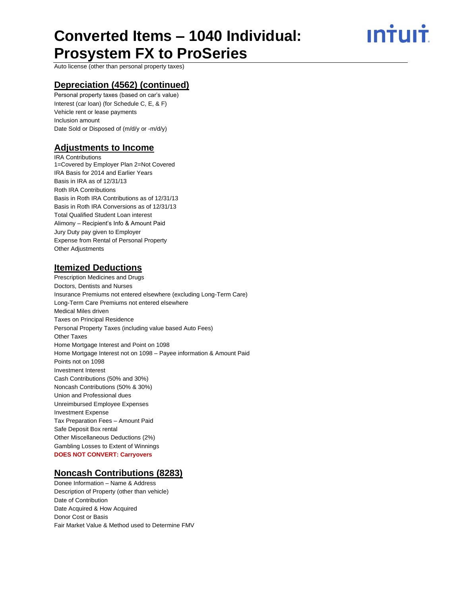ın<del>i</del>uı<del>i</del>

Auto license (other than personal property taxes)

#### **Depreciation (4562) (continued)**

Personal property taxes (based on car's value) Interest (car loan) (for Schedule C, E, & F) Vehicle rent or lease payments Inclusion amount Date Sold or Disposed of (m/d/y or -m/d/y)

#### **Adjustments to Income**

IRA Contributions 1=Covered by Employer Plan 2=Not Covered IRA Basis for 2014 and Earlier Years Basis in IRA as of 12/31/13 Roth IRA Contributions Basis in Roth IRA Contributions as of 12/31/13 Basis in Roth IRA Conversions as of 12/31/13 Total Qualified Student Loan interest Alimony – Recipient's Info & Amount Paid Jury Duty pay given to Employer Expense from Rental of Personal Property Other Adjustments

### **Itemized Deductions**

Prescription Medicines and Drugs Doctors, Dentists and Nurses Insurance Premiums not entered elsewhere (excluding Long-Term Care) Long-Term Care Premiums not entered elsewhere Medical Miles driven Taxes on Principal Residence Personal Property Taxes (including value based Auto Fees) Other Taxes Home Mortgage Interest and Point on 1098 Home Mortgage Interest not on 1098 – Payee information & Amount Paid Points not on 1098 Investment Interest Cash Contributions (50% and 30%) Noncash Contributions (50% & 30%) Union and Professional dues Unreimbursed Employee Expenses Investment Expense Tax Preparation Fees – Amount Paid Safe Deposit Box rental Other Miscellaneous Deductions (2%) Gambling Losses to Extent of Winnings **DOES NOT CONVERT: Carryovers**

#### **Noncash Contributions (8283)**

Donee Information – Name & Address Description of Property (other than vehicle) Date of Contribution Date Acquired & How Acquired Donor Cost or Basis Fair Market Value & Method used to Determine FMV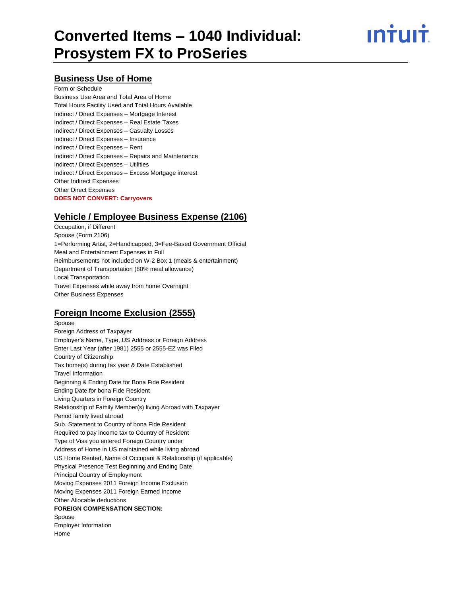ın†uı†

#### **Business Use of Home**

Form or Schedule Business Use Area and Total Area of Home Total Hours Facility Used and Total Hours Available Indirect / Direct Expenses – Mortgage Interest Indirect / Direct Expenses – Real Estate Taxes Indirect / Direct Expenses – Casualty Losses Indirect / Direct Expenses – Insurance Indirect / Direct Expenses – Rent Indirect / Direct Expenses – Repairs and Maintenance Indirect / Direct Expenses – Utilities Indirect / Direct Expenses – Excess Mortgage interest Other Indirect Expenses Other Direct Expenses **DOES NOT CONVERT: Carryovers**

## **Vehicle / Employee Business Expense (2106)**

Occupation, if Different Spouse (Form 2106) 1=Performing Artist, 2=Handicapped, 3=Fee-Based Government Official Meal and Entertainment Expenses in Full Reimbursements not included on W-2 Box 1 (meals & entertainment) Department of Transportation (80% meal allowance) Local Transportation Travel Expenses while away from home Overnight Other Business Expenses

# **Foreign Income Exclusion (2555)**

Spouse Foreign Address of Taxpayer Employer's Name, Type, US Address or Foreign Address Enter Last Year (after 1981) 2555 or 2555-EZ was Filed Country of Citizenship Tax home(s) during tax year & Date Established Travel Information Beginning & Ending Date for Bona Fide Resident Ending Date for bona Fide Resident Living Quarters in Foreign Country Relationship of Family Member(s) living Abroad with Taxpayer Period family lived abroad Sub. Statement to Country of bona Fide Resident Required to pay income tax to Country of Resident Type of Visa you entered Foreign Country under Address of Home in US maintained while living abroad US Home Rented, Name of Occupant & Relationship (if applicable) Physical Presence Test Beginning and Ending Date Principal Country of Employment Moving Expenses 2011 Foreign Income Exclusion Moving Expenses 2011 Foreign Earned Income Other Allocable deductions **FOREIGN COMPENSATION SECTION: Spouse** Employer Information Home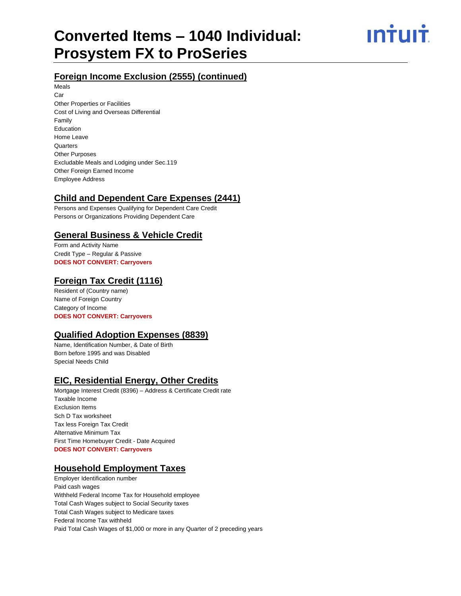INŤIJIŤ

# **Foreign Income Exclusion (2555) (continued)**

Meals Car Other Properties or Facilities Cost of Living and Overseas Differential Family Education Home Leave **Quarters** Other Purposes Excludable Meals and Lodging under Sec.119 Other Foreign Earned Income Employee Address

### **Child and Dependent Care Expenses (2441)**

Persons and Expenses Qualifying for Dependent Care Credit Persons or Organizations Providing Dependent Care

### **General Business & Vehicle Credit**

Form and Activity Name Credit Type – Regular & Passive **DOES NOT CONVERT: Carryovers**

### **Foreign Tax Credit (1116)**

Resident of (Country name) Name of Foreign Country Category of Income **DOES NOT CONVERT: Carryovers**

### **Qualified Adoption Expenses (8839)**

Name, Identification Number, & Date of Birth Born before 1995 and was Disabled Special Needs Child

# **EIC, Residential Energy, Other Credits**

Mortgage Interest Credit (8396) – Address & Certificate Credit rate Taxable Income Exclusion Items Sch D Tax worksheet Tax less Foreign Tax Credit Alternative Minimum Tax First Time Homebuyer Credit - Date Acquired **DOES NOT CONVERT: Carryovers**

### **Household Employment Taxes**

Employer Identification number Paid cash wages Withheld Federal Income Tax for Household employee Total Cash Wages subject to Social Security taxes Total Cash Wages subject to Medicare taxes Federal Income Tax withheld Paid Total Cash Wages of \$1,000 or more in any Quarter of 2 preceding years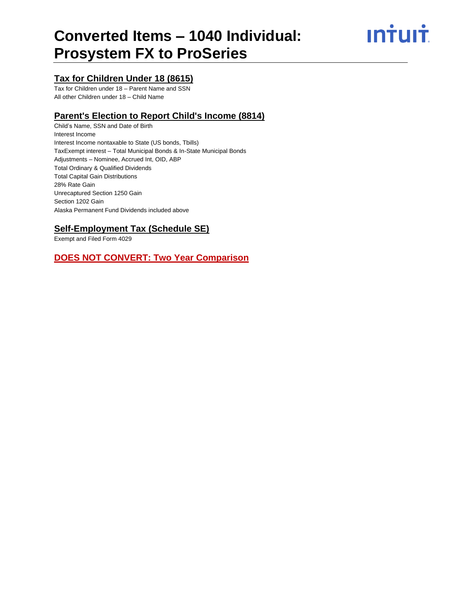<u>**Intuit**</u>

# **Tax for Children Under 18 (8615)**

Tax for Children under 18 – Parent Name and SSN All other Children under 18 – Child Name

#### **Parent's Election to Report Child's Income (8814)**

Child's Name, SSN and Date of Birth Interest Income Interest Income nontaxable to State (US bonds, Tbills) TaxExempt interest – Total Municipal Bonds & In-State Municipal Bonds Adjustments – Nominee, Accrued Int, OID, ABP Total Ordinary & Qualified Dividends Total Capital Gain Distributions 28% Rate Gain Unrecaptured Section 1250 Gain Section 1202 Gain Alaska Permanent Fund Dividends included above

# **Self-Employment Tax (Schedule SE)**

Exempt and Filed Form 4029

### **DOES NOT CONVERT: Two Year Comparison**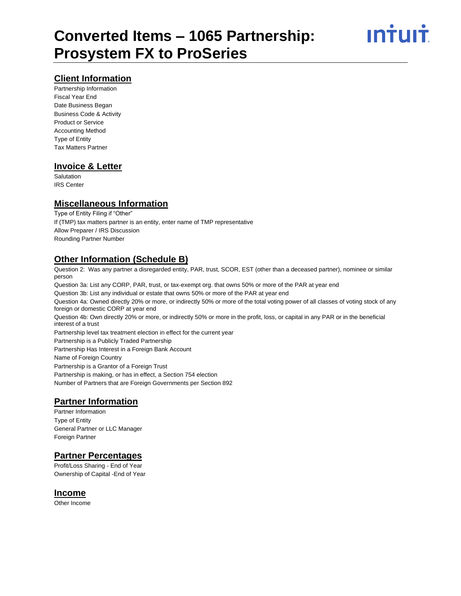### **Client Information**

Partnership Information Fiscal Year End Date Business Began Business Code & Activity Product or Service Accounting Method Type of Entity Tax Matters Partner

### **Invoice & Letter**

**Salutation** IRS Center

#### **Miscellaneous Information**

Type of Entity Filing if "Other" If (TMP) tax matters partner is an entity, enter name of TMP representative Allow Preparer / IRS Discussion Rounding Partner Number

### **Other Information (Schedule B)**

Question 2: Was any partner a disregarded entity, PAR, trust, SCOR, EST (other than a deceased partner), nominee or similar person Question 3a: List any CORP, PAR, trust, or tax-exempt org. that owns 50% or more of the PAR at year end Question 3b: List any individual or estate that owns 50% or more of the PAR at year end Question 4a: Owned directly 20% or more, or indirectly 50% or more of the total voting power of all classes of voting stock of any foreign or domestic CORP at year end Question 4b: Own directly 20% or more, or indirectly 50% or more in the profit, loss, or capital in any PAR or in the beneficial interest of a trust Partnership level tax treatment election in effect for the current year Partnership is a Publicly Traded Partnership

Partnership Has Interest in a Foreign Bank Account Name of Foreign Country Partnership is a Grantor of a Foreign Trust Partnership is making, or has in effect, a Section 754 election Number of Partners that are Foreign Governments per Section 892

#### **Partner Information**

Partner Information Type of Entity General Partner or LLC Manager Foreign Partner

### **Partner Percentages**

Profit/Loss Sharing - End of Year Ownership of Capital -End of Year

#### **Income**

Other Income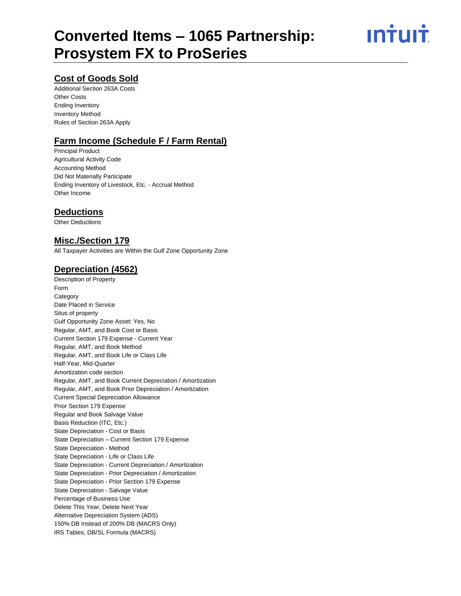ın†uı†

# **Cost of Goods Sold**

Additional Section 263A Costs Other Costs Ending Inventory Inventory Method Rules of Section 263A Apply

# **Farm Income (Schedule F / Farm Rental)**

Principal Product Agricultural Activity Code Accounting Method Did Not Materially Participate Ending Inventory of Livestock, Etc. - Accrual Method Other Income

#### **Deductions**

Other Deductions

#### **Misc./Section 179**

All Taxpayer Activities are Within the Gulf Zone Opportunity Zone

### **Depreciation (4562)**

Description of Property Form **Category** Date Placed in Service Situs of property Gulf Opportunity Zone Asset: Yes, No Regular, AMT, and Book Cost or Basis Current Section 179 Expense - Current Year Regular, AMT, and Book Method Regular, AMT, and Book Life or Class Life Half-Year, Mid-Quarter Amortization code section Regular, AMT, and Book Current Depreciation / Amortization Regular, AMT, and Book Prior Depreciation / Amortization Current Special Depreciation Allowance Prior Section 179 Expense Regular and Book Salvage Value Basis Reduction (ITC, Etc.) State Depreciation - Cost or Basis State Depreciation – Current Section 179 Expense State Depreciation - Method State Depreciation - Life or Class Life State Depreciation - Current Depreciation / Amortization State Depreciation - Prior Depreciation / Amortization State Depreciation - Prior Section 179 Expense State Depreciation - Salvage Value Percentage of Business Use Delete This Year, Delete Next Year Alternative Depreciation System (ADS) 150% DB Instead of 200% DB (MACRS Only) IRS Tables, DB/SL Formula (MACRS)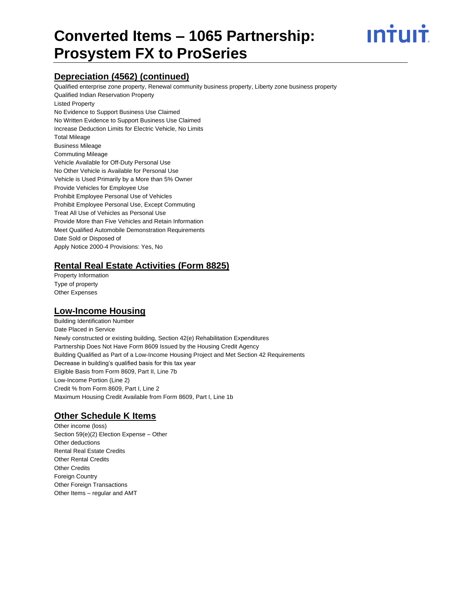# **Converted Items – 1065 Partnership: Prosystem FX to ProSeries**



## **Depreciation (4562) (continued)**

Qualified enterprise zone property, Renewal community business property, Liberty zone business property Qualified Indian Reservation Property Listed Property No Evidence to Support Business Use Claimed No Written Evidence to Support Business Use Claimed Increase Deduction Limits for Electric Vehicle, No Limits Total Mileage Business Mileage Commuting Mileage Vehicle Available for Off-Duty Personal Use No Other Vehicle is Available for Personal Use Vehicle is Used Primarily by a More than 5% Owner Provide Vehicles for Employee Use Prohibit Employee Personal Use of Vehicles Prohibit Employee Personal Use, Except Commuting Treat All Use of Vehicles as Personal Use Provide More than Five Vehicles and Retain Information Meet Qualified Automobile Demonstration Requirements Date Sold or Disposed of Apply Notice 2000-4 Provisions: Yes, No

#### **Rental Real Estate Activities (Form 8825)**

Property Information Type of property Other Expenses

#### **Low-Income Housing**

Building Identification Number Date Placed in Service Newly constructed or existing building, Section 42(e) Rehabilitation Expenditures Partnership Does Not Have Form 8609 Issued by the Housing Credit Agency Building Qualified as Part of a Low-Income Housing Project and Met Section 42 Requirements Decrease in building's qualified basis for this tax year Eligible Basis from Form 8609, Part II, Line 7b Low-Income Portion (Line 2) Credit % from Form 8609, Part I, Line 2 Maximum Housing Credit Available from Form 8609, Part I, Line 1b

# **Other Schedule K Items**

Other income (loss) Section 59(e)(2) Election Expense – Other Other deductions Rental Real Estate Credits Other Rental Credits Other Credits Foreign Country Other Foreign Transactions Other Items – regular and AMT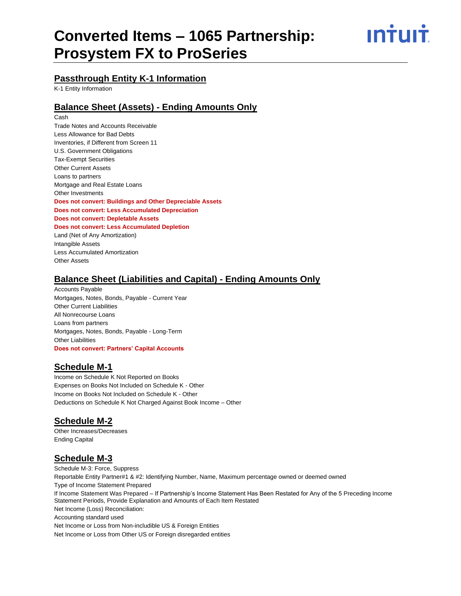# **Converted Items – 1065 Partnership: Prosystem FX to ProSeries**



### **Passthrough Entity K-1 Information**

K-1 Entity Information

#### **Balance Sheet (Assets) - Ending Amounts Only**

Cash Trade Notes and Accounts Receivable Less Allowance for Bad Debts Inventories, if Different from Screen 11 U.S. Government Obligations Tax-Exempt Securities Other Current Assets Loans to partners Mortgage and Real Estate Loans Other Investments **Does not convert: Buildings and Other Depreciable Assets Does not convert: Less Accumulated Depreciation Does not convert: Depletable Assets Does not convert: Less Accumulated Depletion** Land (Net of Any Amortization) Intangible Assets Less Accumulated Amortization Other Assets

#### **Balance Sheet (Liabilities and Capital) - Ending Amounts Only**

Accounts Payable Mortgages, Notes, Bonds, Payable - Current Year Other Current Liabilities All Nonrecourse Loans Loans from partners Mortgages, Notes, Bonds, Payable - Long-Term Other Liabilities **Does not convert: Partners' Capital Accounts**

### **Schedule M-1**

Income on Schedule K Not Reported on Books Expenses on Books Not Included on Schedule K - Other Income on Books Not Included on Schedule K - Other Deductions on Schedule K Not Charged Against Book Income – Other

### **Schedule M-2**

Other Increases/Decreases Ending Capital

### **Schedule M-3**

Schedule M-3: Force, Suppress Reportable Entity Partner#1 & #2: Identifying Number, Name, Maximum percentage owned or deemed owned Type of Income Statement Prepared If Income Statement Was Prepared – If Partnership's Income Statement Has Been Restated for Any of the 5 Preceding Income Statement Periods, Provide Explanation and Amounts of Each Item Restated Net Income (Loss) Reconciliation: Accounting standard used Net Income or Loss from Non-includible US & Foreign Entities Net Income or Loss from Other US or Foreign disregarded entities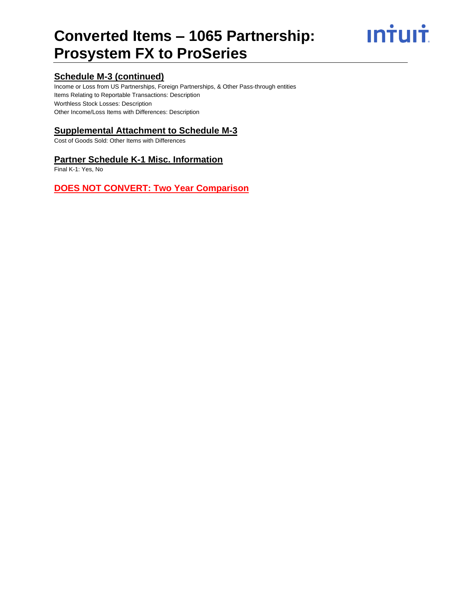# **Converted Items – 1065 Partnership: Prosystem FX to ProSeries**

**Intuit** 

# **Schedule M-3 (continued)**

Income or Loss from US Partnerships, Foreign Partnerships, & Other Pass-through entities Items Relating to Reportable Transactions: Description Worthless Stock Losses: Description Other Income/Loss Items with Differences: Description

# **Supplemental Attachment to Schedule M-3**

Cost of Goods Sold: Other Items with Differences

#### **Partner Schedule K-1 Misc. Information**

Final K-1: Yes, No

# **DOES NOT CONVERT: Two Year Comparison**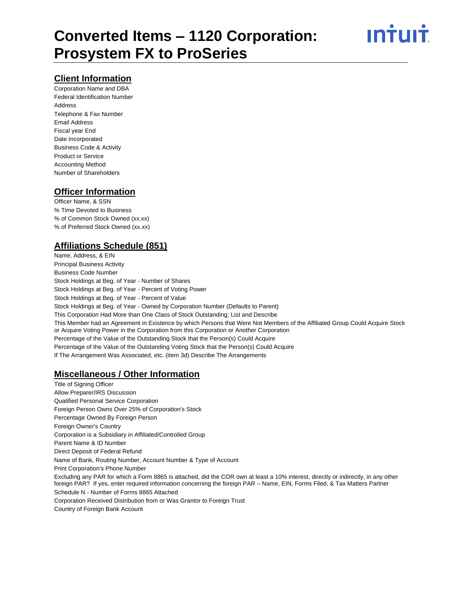# **Client Information**

Corporation Name and DBA Federal Identification Number Address Telephone & Fax Number Email Address Fiscal year End Date Incorporated Business Code & Activity Product or Service Accounting Method Number of Shareholders

# **Officer Information**

Officer Name, & SSN % Time Devoted to Business % of Common Stock Owned (xx.xx) % of Preferred Stock Owned (xx.xx)

# **Affiliations Schedule (851)**

Name, Address, & EIN Principal Business Activity Business Code Number Stock Holdings at Beg. of Year - Number of Shares Stock Holdings at Beg. of Year - Percent of Voting Power Stock Holdings at Beg. of Year - Percent of Value Stock Holdings at Beg. of Year - Owned by Corporation Number (Defaults to Parent) This Corporation Had More than One Class of Stock Outstanding; List and Describe This Member had an Agreement in Existence by which Persons that Were Not Members of the Affiliated Group Could Acquire Stock or Acquire Voting Power in the Corporation from this Corporation or Another Corporation Percentage of the Value of the Outstanding Stock that the Person(s) Could Acquire Percentage of the Value of the Outstanding Voting Stock that the Person(s) Could Acquire If The Arrangement Was Associated, etc. (item 3d) Describe The Arrangements

### **Miscellaneous / Other Information**

Title of Signing Officer Allow Preparer/IRS Discussion Qualified Personal Service Corporation Foreign Person Owns Over 25% of Corporation's Stock Percentage Owned By Foreign Person Foreign Owner's Country Corporation is a Subsidiary in Affiliated/Controlled Group Parent Name & ID Number Direct Deposit of Federal Refund Name of Bank, Routing Number, Account Number & Type of Account Print Corporation's Phone Number Excluding any PAR for which a Form 8865 is attached, did the COR own at least a 10% interest, directly or indirectly, in any other foreign PAR? If yes, enter required information concerning the foreign PAR – Name, EIN, Forms Filed, & Tax Matters Partner Schedule N - Number of Forms 8865 Attached Corporation Received Distribution from or Was Grantor to Foreign Trust

Country of Foreign Bank Account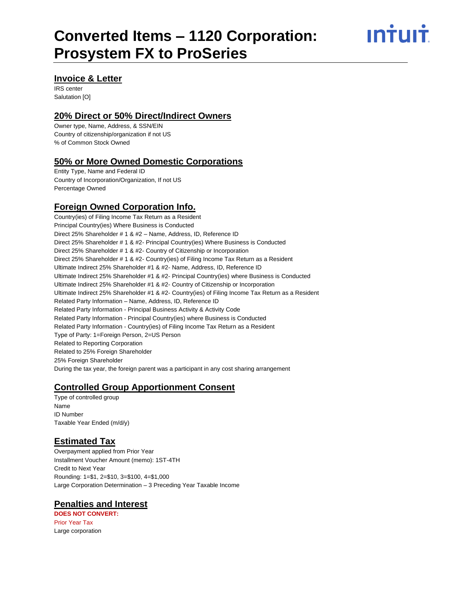ın†uı†

#### **Invoice & Letter**

IRS center Salutation [O]

#### **20% Direct or 50% Direct/Indirect Owners**

Owner type, Name, Address, & SSN/EIN Country of citizenship/organization if not US % of Common Stock Owned

#### **50% or More Owned Domestic Corporations**

Entity Type, Name and Federal ID Country of Incorporation/Organization, If not US Percentage Owned

## **Foreign Owned Corporation Info.**

Country(ies) of Filing Income Tax Return as a Resident Principal Country(ies) Where Business is Conducted Direct 25% Shareholder # 1 & #2 – Name, Address, ID, Reference ID Direct 25% Shareholder # 1 & #2- Principal Country(ies) Where Business is Conducted Direct 25% Shareholder # 1 & #2- Country of Citizenship or Incorporation Direct 25% Shareholder # 1 & #2- Country(ies) of Filing Income Tax Return as a Resident Ultimate Indirect 25% Shareholder #1 & #2- Name, Address, ID, Reference ID Ultimate Indirect 25% Shareholder #1 & #2- Principal Country(ies) where Business is Conducted Ultimate Indirect 25% Shareholder #1 & #2- Country of Citizenship or Incorporation Ultimate Indirect 25% Shareholder #1 & #2- Country(ies) of Filing Income Tax Return as a Resident Related Party Information – Name, Address, ID, Reference ID Related Party Information - Principal Business Activity & Activity Code Related Party Information - Principal Country(ies) where Business is Conducted Related Party Information - Country(ies) of Filing Income Tax Return as a Resident Type of Party: 1=Foreign Person, 2=US Person Related to Reporting Corporation Related to 25% Foreign Shareholder 25% Foreign Shareholder During the tax year, the foreign parent was a participant in any cost sharing arrangement

### **Controlled Group Apportionment Consent**

Type of controlled group Name ID Number Taxable Year Ended (m/d/y)

### **Estimated Tax**

Overpayment applied from Prior Year Installment Voucher Amount (memo): 1ST-4TH Credit to Next Year Rounding: 1=\$1, 2=\$10, 3=\$100, 4=\$1,000 Large Corporation Determination – 3 Preceding Year Taxable Income

### **Penalties and Interest**

**DOES NOT CONVERT:**  Prior Year Tax Large corporation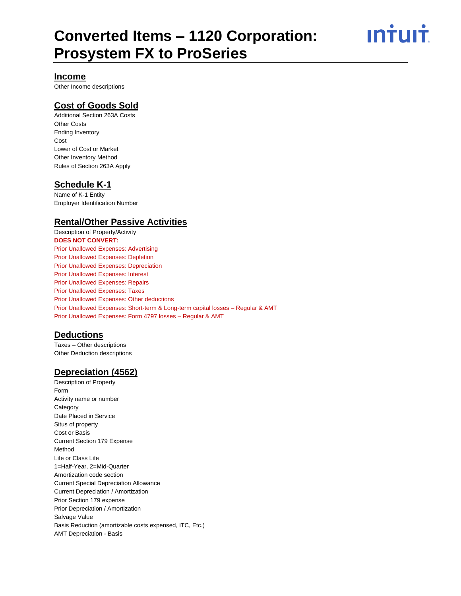ın†uı†

#### **Income**

Other Income descriptions

### **Cost of Goods Sold**

Additional Section 263A Costs Other Costs Ending Inventory Cost Lower of Cost or Market Other Inventory Method Rules of Section 263A Apply

#### **Schedule K-1**

Name of K-1 Entity Employer Identification Number

#### **Rental/Other Passive Activities**

Description of Property/Activity **DOES NOT CONVERT:**  Prior Unallowed Expenses: Advertising Prior Unallowed Expenses: Depletion Prior Unallowed Expenses: Depreciation Prior Unallowed Expenses: Interest Prior Unallowed Expenses: Repairs Prior Unallowed Expenses: Taxes Prior Unallowed Expenses: Other deductions Prior Unallowed Expenses: Short-term & Long-term capital losses – Regular & AMT Prior Unallowed Expenses: Form 4797 losses – Regular & AMT

#### **Deductions**

Taxes – Other descriptions Other Deduction descriptions

#### **Depreciation (4562)**

Description of Property Form Activity name or number **Category** Date Placed in Service Situs of property Cost or Basis Current Section 179 Expense Method Life or Class Life 1=Half-Year, 2=Mid-Quarter Amortization code section Current Special Depreciation Allowance Current Depreciation / Amortization Prior Section 179 expense Prior Depreciation / Amortization Salvage Value Basis Reduction (amortizable costs expensed, ITC, Etc.) AMT Depreciation - Basis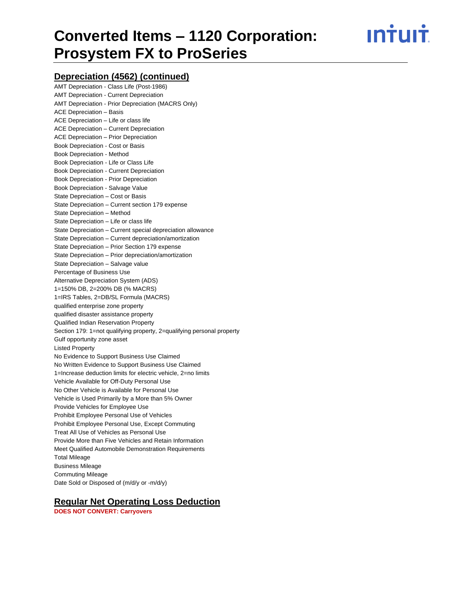**Intuit** 

#### **Depreciation (4562) (continued)**

| AMT Depreciation - Class Life (Post-1986)                              |
|------------------------------------------------------------------------|
| <b>AMT Depreciation - Current Depreciation</b>                         |
| <b>AMT Depreciation - Prior Depreciation (MACRS Only)</b>              |
| <b>ACE Depreciation - Basis</b>                                        |
| ACE Depreciation - Life or class life                                  |
| ACE Depreciation - Current Depreciation                                |
| <b>ACE Depreciation - Prior Depreciation</b>                           |
| Book Depreciation - Cost or Basis                                      |
| <b>Book Depreciation - Method</b>                                      |
| Book Depreciation - Life or Class Life                                 |
| Book Depreciation - Current Depreciation                               |
| Book Depreciation - Prior Depreciation                                 |
| Book Depreciation - Salvage Value                                      |
| State Depreciation - Cost or Basis                                     |
| State Depreciation - Current section 179 expense                       |
| State Depreciation - Method                                            |
| State Depreciation - Life or class life                                |
| State Depreciation - Current special depreciation allowance            |
| State Depreciation - Current depreciation/amortization                 |
| State Depreciation - Prior Section 179 expense                         |
| State Depreciation - Prior depreciation/amortization                   |
| State Depreciation - Salvage value                                     |
| Percentage of Business Use                                             |
| Alternative Depreciation System (ADS)                                  |
| 1=150% DB, 2=200% DB (% MACRS)                                         |
| 1=IRS Tables, 2=DB/SL Formula (MACRS)                                  |
| qualified enterprise zone property                                     |
| qualified disaster assistance property                                 |
| Qualified Indian Reservation Property                                  |
| Section 179: 1=not qualifying property, 2=qualifying personal property |
| Gulf opportunity zone asset                                            |
| <b>Listed Property</b>                                                 |
| No Evidence to Support Business Use Claimed                            |
| No Written Evidence to Support Business Use Claimed                    |
| 1=Increase deduction limits for electric vehicle, 2=no limits          |
| Vehicle Available for Off-Duty Personal Use                            |
| No Other Vehicle is Available for Personal Use                         |
| Vehicle is Used Primarily by a More than 5% Owner                      |
| Provide Vehicles for Employee Use                                      |
| Prohibit Employee Personal Use of Vehicles                             |
| Prohibit Employee Personal Use, Except Commuting                       |
| Treat All Use of Vehicles as Personal Use                              |
| Provide More than Five Vehicles and Retain Information                 |
| Meet Qualified Automobile Demonstration Requirements                   |
| <b>Total Mileage</b>                                                   |
| <b>Business Mileage</b>                                                |
| <b>Commuting Mileage</b>                                               |
| Date Sold or Disposed of (m/d/y or -m/d/y)                             |
|                                                                        |

# **Regular Net Operating Loss Deduction**

**DOES NOT CONVERT: Carryovers**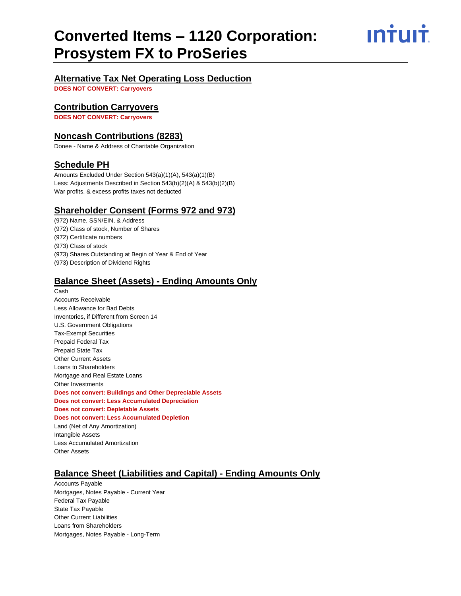INTUIT

#### **Alternative Tax Net Operating Loss Deduction**

**DOES NOT CONVERT: Carryovers**

#### **Contribution Carryovers**

**DOES NOT CONVERT: Carryovers**

#### **Noncash Contributions (8283)**

Donee - Name & Address of Charitable Organization

#### **Schedule PH**

Amounts Excluded Under Section 543(a)(1)(A), 543(a)(1)(B) Less: Adjustments Described in Section 543(b)(2)(A) & 543(b)(2)(B) War profits, & excess profits taxes not deducted

#### **Shareholder Consent (Forms 972 and 973)**

(972) Name, SSN/EIN, & Address (972) Class of stock, Number of Shares (972) Certificate numbers (973) Class of stock (973) Shares Outstanding at Begin of Year & End of Year (973) Description of Dividend Rights

#### **Balance Sheet (Assets) - Ending Amounts Only**

Cash Accounts Receivable Less Allowance for Bad Debts Inventories, if Different from Screen 14 U.S. Government Obligations Tax-Exempt Securities Prepaid Federal Tax Prepaid State Tax Other Current Assets Loans to Shareholders Mortgage and Real Estate Loans Other Investments **Does not convert: Buildings and Other Depreciable Assets Does not convert: Less Accumulated Depreciation Does not convert: Depletable Assets Does not convert: Less Accumulated Depletion** Land (Net of Any Amortization) Intangible Assets Less Accumulated Amortization Other Assets

### **Balance Sheet (Liabilities and Capital) - Ending Amounts Only**

Accounts Payable Mortgages, Notes Payable - Current Year Federal Tax Payable State Tax Payable Other Current Liabilities Loans from Shareholders Mortgages, Notes Payable - Long-Term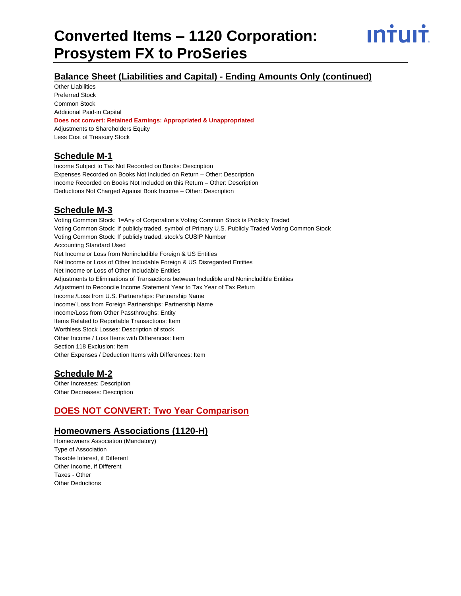

# **Balance Sheet (Liabilities and Capital) - Ending Amounts Only (continued)**

Other Liabilities Preferred Stock Common Stock Additional Paid-in Capital

#### **Does not convert: Retained Earnings: Appropriated & Unappropriated**

Adjustments to Shareholders Equity Less Cost of Treasury Stock

### **Schedule M-1**

Income Subject to Tax Not Recorded on Books: Description Expenses Recorded on Books Not Included on Return – Other: Description Income Recorded on Books Not Included on this Return – Other: Description Deductions Not Charged Against Book Income – Other: Description

## **Schedule M-3**

Voting Common Stock: 1=Any of Corporation's Voting Common Stock is Publicly Traded Voting Common Stock: If publicly traded, symbol of Primary U.S. Publicly Traded Voting Common Stock Voting Common Stock: If publicly traded, stock's CUSIP Number Accounting Standard Used Net Income or Loss from Nonincludible Foreign & US Entities Net Income or Loss of Other Includable Foreign & US Disregarded Entities Net Income or Loss of Other Includable Entities Adjustments to Eliminations of Transactions between Includible and Nonincludible Entities Adjustment to Reconcile Income Statement Year to Tax Year of Tax Return Income /Loss from U.S. Partnerships: Partnership Name Income/ Loss from Foreign Partnerships: Partnership Name Income/Loss from Other Passthroughs: Entity Items Related to Reportable Transactions: Item Worthless Stock Losses: Description of stock Other Income / Loss Items with Differences: Item Section 118 Exclusion: Item Other Expenses / Deduction Items with Differences: Item

#### **Schedule M-2**

Other Increases: Description Other Decreases: Description

# **DOES NOT CONVERT: Two Year Comparison**

#### **Homeowners Associations (1120-H)**

Homeowners Association (Mandatory) Type of Association Taxable Interest, if Different Other Income, if Different Taxes - Other Other Deductions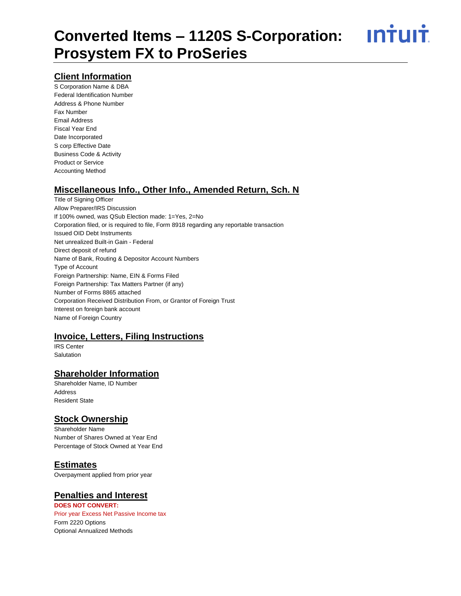<u>**INTUIT**</u>

## **Client Information**

S Corporation Name & DBA Federal Identification Number Address & Phone Number Fax Number Email Address Fiscal Year End Date Incorporated S corp Effective Date Business Code & Activity Product or Service Accounting Method

### **Miscellaneous Info., Other Info., Amended Return, Sch. N**

Title of Signing Officer Allow Preparer/IRS Discussion If 100% owned, was QSub Election made: 1=Yes, 2=No Corporation filed, or is required to file, Form 8918 regarding any reportable transaction Issued OID Debt Instruments Net unrealized Built-in Gain - Federal Direct deposit of refund Name of Bank, Routing & Depositor Account Numbers Type of Account Foreign Partnership: Name, EIN & Forms Filed Foreign Partnership: Tax Matters Partner (if any) Number of Forms 8865 attached Corporation Received Distribution From, or Grantor of Foreign Trust Interest on foreign bank account Name of Foreign Country

### **Invoice, Letters, Filing Instructions**

IRS Center Salutation

# **Shareholder Information**

Shareholder Name, ID Number Address Resident State

# **Stock Ownership**

Shareholder Name Number of Shares Owned at Year End Percentage of Stock Owned at Year End

### **Estimates**

Overpayment applied from prior year

#### **Penalties and Interest**

**DOES NOT CONVERT:**  Prior year Excess Net Passive Income tax Form 2220 Options Optional Annualized Methods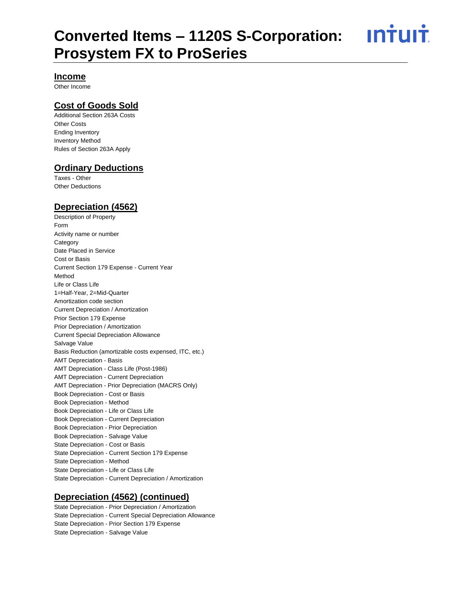<u>ıntuıt</u>

#### **Income**

Other Income

### **Cost of Goods Sold**

Additional Section 263A Costs Other Costs Ending Inventory Inventory Method Rules of Section 263A Apply

#### **Ordinary Deductions**

Taxes - Other Other Deductions

#### **Depreciation (4562)**

Description of Property Form Activity name or number **Category** Date Placed in Service Cost or Basis Current Section 179 Expense - Current Year Method Life or Class Life 1=Half-Year, 2=Mid-Quarter Amortization code section Current Depreciation / Amortization Prior Section 179 Expense Prior Depreciation / Amortization Current Special Depreciation Allowance Salvage Value Basis Reduction (amortizable costs expensed, ITC, etc.) AMT Depreciation - Basis AMT Depreciation - Class Life (Post-1986) AMT Depreciation - Current Depreciation AMT Depreciation - Prior Depreciation (MACRS Only) Book Depreciation - Cost or Basis Book Depreciation - Method Book Depreciation - Life or Class Life Book Depreciation - Current Depreciation Book Depreciation - Prior Depreciation Book Depreciation - Salvage Value State Depreciation - Cost or Basis State Depreciation - Current Section 179 Expense State Depreciation - Method State Depreciation - Life or Class Life State Depreciation - Current Depreciation / Amortization

#### **Depreciation (4562) (continued)**

State Depreciation - Prior Depreciation / Amortization State Depreciation - Current Special Depreciation Allowance State Depreciation - Prior Section 179 Expense State Depreciation - Salvage Value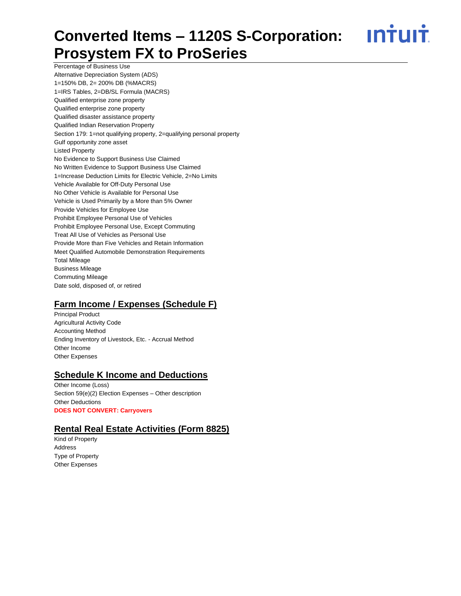<u>**Intuit**</u>

Percentage of Business Use Alternative Depreciation System (ADS) 1=150% DB, 2= 200% DB (%MACRS) 1=IRS Tables, 2=DB/SL Formula (MACRS) Qualified enterprise zone property Qualified enterprise zone property Qualified disaster assistance property Qualified Indian Reservation Property Section 179: 1=not qualifying property, 2=qualifying personal property Gulf opportunity zone asset Listed Property No Evidence to Support Business Use Claimed No Written Evidence to Support Business Use Claimed 1=Increase Deduction Limits for Electric Vehicle, 2=No Limits Vehicle Available for Off-Duty Personal Use No Other Vehicle is Available for Personal Use Vehicle is Used Primarily by a More than 5% Owner Provide Vehicles for Employee Use Prohibit Employee Personal Use of Vehicles Prohibit Employee Personal Use, Except Commuting Treat All Use of Vehicles as Personal Use Provide More than Five Vehicles and Retain Information Meet Qualified Automobile Demonstration Requirements Total Mileage Business Mileage Commuting Mileage Date sold, disposed of, or retired

### **Farm Income / Expenses (Schedule F)**

Principal Product Agricultural Activity Code Accounting Method Ending Inventory of Livestock, Etc. - Accrual Method Other Income Other Expenses

# **Schedule K Income and Deductions**

Other Income (Loss) Section 59(e)(2) Election Expenses – Other description Other Deductions **DOES NOT CONVERT: Carryovers**

### **Rental Real Estate Activities (Form 8825)**

Kind of Property Address Type of Property Other Expenses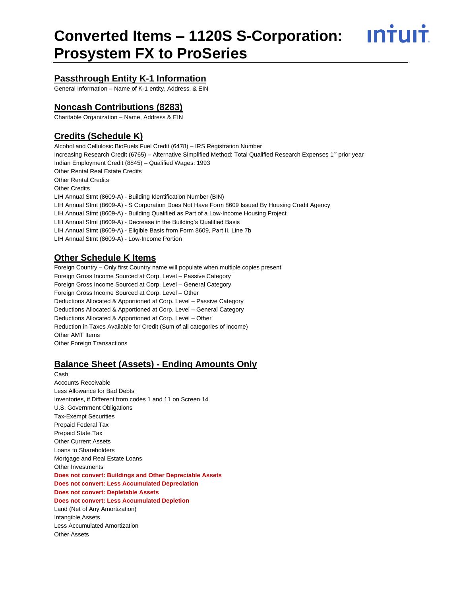<u>**INTUIT**</u>

### **Passthrough Entity K-1 Information**

General Information – Name of K-1 entity, Address, & EIN

#### **Noncash Contributions (8283)**

Charitable Organization – Name, Address & EIN

### **Credits (Schedule K)**

Alcohol and Cellulosic BioFuels Fuel Credit (6478) – IRS Registration Number Increasing Research Credit (6765) – Alternative Simplified Method: Total Qualified Research Expenses 1<sup>st</sup> prior year Indian Employment Credit (8845) – Qualified Wages: 1993 Other Rental Real Estate Credits Other Rental Credits Other Credits LIH Annual Stmt (8609-A) - Building Identification Number (BIN) LIH Annual Stmt (8609-A) - S Corporation Does Not Have Form 8609 Issued By Housing Credit Agency LIH Annual Stmt (8609-A) - Building Qualified as Part of a Low-Income Housing Project LIH Annual Stmt (8609-A) - Decrease in the Building's Qualified Basis LIH Annual Stmt (8609-A) - Eligible Basis from Form 8609, Part II, Line 7b LIH Annual Stmt (8609-A) - Low-Income Portion

### **Other Schedule K Items**

Foreign Country – Only first Country name will populate when multiple copies present Foreign Gross Income Sourced at Corp. Level – Passive Category Foreign Gross Income Sourced at Corp. Level – General Category Foreign Gross Income Sourced at Corp. Level – Other Deductions Allocated & Apportioned at Corp. Level – Passive Category Deductions Allocated & Apportioned at Corp. Level – General Category Deductions Allocated & Apportioned at Corp. Level – Other Reduction in Taxes Available for Credit (Sum of all categories of income) Other AMT Items Other Foreign Transactions

#### **Balance Sheet (Assets) - Ending Amounts Only**

Cash Accounts Receivable Less Allowance for Bad Debts Inventories, if Different from codes 1 and 11 on Screen 14 U.S. Government Obligations Tax-Exempt Securities Prepaid Federal Tax Prepaid State Tax Other Current Assets Loans to Shareholders Mortgage and Real Estate Loans Other Investments **Does not convert: Buildings and Other Depreciable Assets Does not convert: Less Accumulated Depreciation Does not convert: Depletable Assets Does not convert: Less Accumulated Depletion** Land (Net of Any Amortization) Intangible Assets Less Accumulated Amortization Other Assets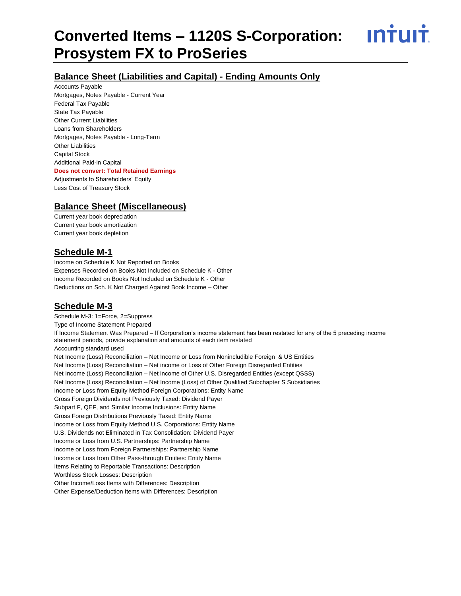<u>INTUIT</u>

### **Balance Sheet (Liabilities and Capital) - Ending Amounts Only**

Accounts Payable Mortgages, Notes Payable - Current Year Federal Tax Payable State Tax Payable Other Current Liabilities Loans from Shareholders Mortgages, Notes Payable - Long-Term Other Liabilities Capital Stock Additional Paid-in Capital **Does not convert: Total Retained Earnings**  Adjustments to Shareholders' Equity Less Cost of Treasury Stock

### **Balance Sheet (Miscellaneous)**

Current year book depreciation Current year book amortization Current year book depletion

### **Schedule M-1**

Income on Schedule K Not Reported on Books Expenses Recorded on Books Not Included on Schedule K - Other Income Recorded on Books Not Included on Schedule K - Other Deductions on Sch. K Not Charged Against Book Income – Other

### **Schedule M-3**

Schedule M-3: 1=Force, 2=Suppress Type of Income Statement Prepared If Income Statement Was Prepared – If Corporation's income statement has been restated for any of the 5 preceding income statement periods, provide explanation and amounts of each item restated Accounting standard used Net Income (Loss) Reconciliation - Net Income or Loss from Nonincludible Foreign & US Entities Net Income (Loss) Reconciliation – Net income or Loss of Other Foreign Disregarded Entities Net Income (Loss) Reconciliation – Net income of Other U.S. Disregarded Entities (except QSSS) Net Income (Loss) Reconciliation – Net Income (Loss) of Other Qualified Subchapter S Subsidiaries Income or Loss from Equity Method Foreign Corporations: Entity Name Gross Foreign Dividends not Previously Taxed: Dividend Payer Subpart F, QEF, and Similar Income Inclusions: Entity Name Gross Foreign Distributions Previously Taxed: Entity Name Income or Loss from Equity Method U.S. Corporations: Entity Name U.S. Dividends not Eliminated in Tax Consolidation: Dividend Payer Income or Loss from U.S. Partnerships: Partnership Name Income or Loss from Foreign Partnerships: Partnership Name Income or Loss from Other Pass-through Entities: Entity Name Items Relating to Reportable Transactions: Description Worthless Stock Losses: Description Other Income/Loss Items with Differences: Description Other Expense/Deduction Items with Differences: Description